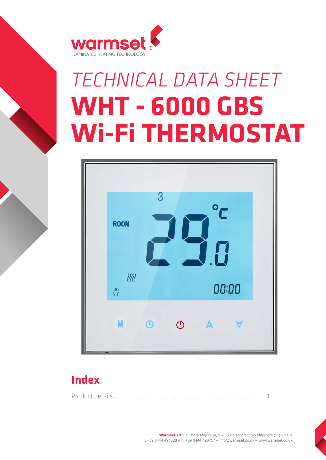

## *TECHNICAL DATA SHEET* **WHT - 6000 GBS Wi-Fi THERMOSTAT**



## **Index**

Product details and the contract of the contract of the contract of the contract of the contract of the contract of the contract of the contract of the contract of the contract of the contract of the contract of the contra